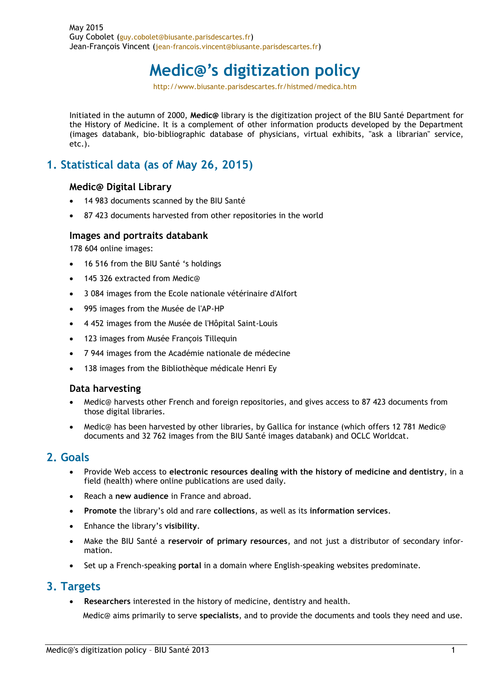# **Medic@'s digitization policy**

http://www.biusante.parisdescartes.fr/histmed/medica.htm

Initiated in the autumn of 2000, **Medic@** library is the digitization project of the BIU Santé Department for the History of Medicine. It is a complement of other information products developed by the Department (images databank, bio-bibliographic database of physicians, virtual exhibits, "ask a librarian" service, etc.).

# **1. Statistical data (as of May 26, 2015)**

#### **Medic@ Digital Library**

- 14 983 documents scanned by the BIU Santé
- 87 423 documents harvested from other repositories in the world

#### **Images and portraits databank**

178 604 online images:

- 16 516 from the BIU Santé 's holdings
- 145 326 extracted from Medic@
- 3 084 images from the Ecole nationale vétérinaire d'Alfort
- 995 images from the Musée de l'AP-HP
- 4 452 images from the Musée de l'Hôpital Saint-Louis
- 123 images from Musée François Tillequin
- 7 944 images from the Académie nationale de médecine
- 138 images from the Bibliothèque médicale Henri Ey

#### **Data harvesting**

- Medic@ harvests other French and foreign repositories, and gives access to 87 423 documents from those digital libraries.
- Medic@ has been harvested by other libraries, by Gallica for instance (which offers 12 781 Medic@ documents and 32 762 images from the BIU Santé images databank) and OCLC Worldcat.

#### **2. Goals**

- Provide Web access to **electronic resources dealing with the history of medicine and dentistry**, in a field (health) where online publications are used daily.
- Reach a **new audience** in France and abroad.
- **Promote** the library's old and rare **collections**, as well as its **information services**.
- Enhance the library's **visibility**.
- Make the BIU Santé a **reservoir of primary resources**, and not just a distributor of secondary information.
- Set up a French-speaking **portal** in a domain where English-speaking websites predominate.

#### **3. Targets**

**Researchers** interested in the history of medicine, dentistry and health.

Medic@ aims primarily to serve **specialists**, and to provide the documents and tools they need and use.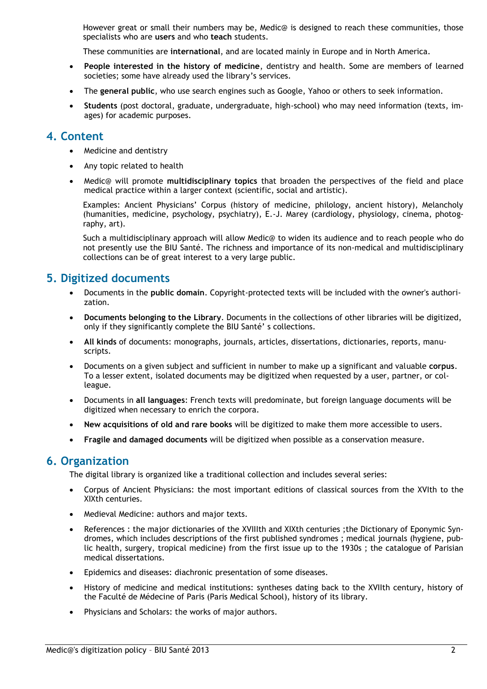However great or small their numbers may be, Medic@ is designed to reach these communities, those specialists who are **users** and who **teach** students.

These communities are **international**, and are located mainly in Europe and in North America.

- **People interested in the history of medicine**, dentistry and health. Some are members of learned societies; some have already used the library's services.
- The **general public**, who use search engines such as Google, Yahoo or others to seek information.
- **Students** (post doctoral, graduate, undergraduate, high-school) who may need information (texts, images) for academic purposes.

## **4. Content**

- Medicine and dentistry
- Any topic related to health
- Medic@ will promote **multidisciplinary topics** that broaden the perspectives of the field and place medical practice within a larger context (scientific, social and artistic).

Examples: Ancient Physicians' Corpus (history of medicine, philology, ancient history), Melancholy (humanities, medicine, psychology, psychiatry), E.-J. Marey (cardiology, physiology, cinema, photography, art).

Such a multidisciplinary approach will allow Medic@ to widen its audience and to reach people who do not presently use the BIU Santé. The richness and importance of its non-medical and multidisciplinary collections can be of great interest to a very large public.

## **5. Digitized documents**

- Documents in the **public domain**. Copyright-protected texts will be included with the owner's authorization.
- **Documents belonging to the Library**. Documents in the collections of other libraries will be digitized, only if they significantly complete the BIU Santé' s collections.
- **All kinds** of documents: monographs, journals, articles, dissertations, dictionaries, reports, manuscripts.
- Documents on a given subject and sufficient in number to make up a significant and valuable **corpus**. To a lesser extent, isolated documents may be digitized when requested by a user, partner, or colleague.
- Documents in **all languages**: French texts will predominate, but foreign language documents will be digitized when necessary to enrich the corpora.
- **New acquisitions of old and rare books** will be digitized to make them more accessible to users.
- **Fragile and damaged documents** will be digitized when possible as a conservation measure.

## **6. Organization**

The digital library is organized like a traditional collection and includes several series:

- Corpus of Ancient Physicians: the most important editions of classical sources from the XVIth to the XIXth centuries.
- Medieval Medicine: authors and major texts.
- References : the major dictionaries of the XVIIIth and XIXth centuries ;the Dictionary of Eponymic Syndromes, which includes descriptions of the first published syndromes ; medical journals (hygiene, public health, surgery, tropical medicine) from the first issue up to the 1930s ; the catalogue of Parisian medical dissertations.
- Epidemics and diseases: diachronic presentation of some diseases.
- History of medicine and medical institutions: syntheses dating back to the XVIIth century, history of the Faculté de Médecine of Paris (Paris Medical School), history of its library.
- Physicians and Scholars: the works of major authors.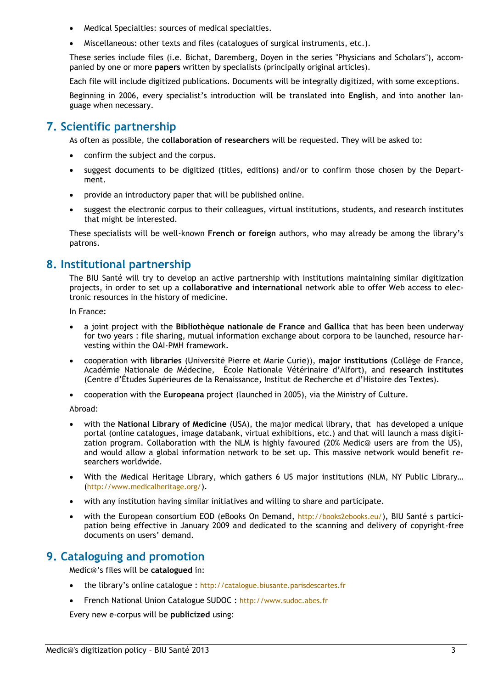- Medical Specialties: sources of medical specialties.
- Miscellaneous: other texts and files (catalogues of surgical instruments, etc.).

These series include files (i.e. Bichat, Daremberg, Doyen in the series "Physicians and Scholars"), accompanied by one or more **papers** written by specialists (principally original articles).

Each file will include digitized publications. Documents will be integrally digitized, with some exceptions.

Beginning in 2006, every specialist's introduction will be translated into **English**, and into another language when necessary.

# **7. Scientific partnership**

As often as possible, the **collaboration of researchers** will be requested. They will be asked to:

- confirm the subject and the corpus.
- suggest documents to be digitized (titles, editions) and/or to confirm those chosen by the Department.
- provide an introductory paper that will be published online.
- suggest the electronic corpus to their colleagues, virtual institutions, students, and research institutes that might be interested.

These specialists will be well-known **French or foreign** authors, who may already be among the library's patrons.

# **8. Institutional partnership**

The BIU Santé will try to develop an active partnership with institutions maintaining similar digitization projects, in order to set up a **collaborative and international** network able to offer Web access to electronic resources in the history of medicine.

In France:

- a joint project with the **Bibliothèque nationale de France** and **Gallica** that has been been underway for two years : file sharing, mutual information exchange about corpora to be launched, resource harvesting within the OAI-PMH framework.
- cooperation with **libraries** (Université Pierre et Marie Curie)), **major institutions** (Collège de France, Académie Nationale de Médecine, École Nationale Vétérinaire d'Alfort), and **research institutes**  (Centre d'Études Supérieures de la Renaissance, Institut de Recherche et d'Histoire des Textes).
- cooperation with the **Europeana** project (launched in 2005), via the Ministry of Culture.

Abroad:

- with the **National Library of Medicine** (USA), the major medical library, that has developed a unique portal (online catalogues, image databank, virtual exhibitions, etc.) and that will launch a mass digitization program. Collaboration with the NLM is highly favoured (20% Medic@ users are from the US), and would allow a global information network to be set up. This massive network would benefit researchers worldwide.
- With the Medical Heritage Library, which gathers 6 US major institutions (NLM, NY Public Library... (http://www.medicalheritage.org/).
- with any institution having similar initiatives and willing to share and participate.
- with the European consortium EOD (eBooks On Demand, <http://books2ebooks.eu/>), BIU Santé s participation being effective in January 2009 and dedicated to the scanning and delivery of copyright-free documents on users' demand.

# **9. Cataloguing and promotion**

Medic@'s files will be **catalogued** in:

- the library's online catalogue : http://catalogue.biusante.parisdescartes.fr
- French National Union Catalogue SUDOC : http://www.sudoc.abes.fr

Every new e-corpus will be **publicized** using: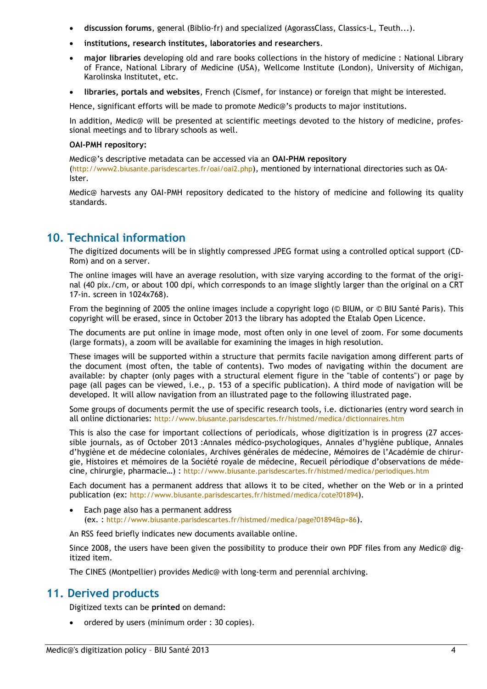- **discussion forums**, general (Biblio-fr) and specialized (AgorassClass, Classics-L, Teuth...).
- **institutions, research institutes, laboratories and researchers**.
- **major libraries** developing old and rare books collections in the history of medicine : National Library of France, National Library of Medicine (USA), Wellcome Institute (London), University of Michigan, Karolinska Institutet, etc.
- **libraries, portals and websites**, French (Cismef, for instance) or foreign that might be interested.

Hence, significant efforts will be made to promote Medic@'s products to major institutions.

In addition, Medic@ will be presented at scientific meetings devoted to the history of medicine, professional meetings and to library schools as well.

#### **OAI-PMH repository:**

Medic@'s descriptive metadata can be accessed via an **OAI-PHM repository**  (http://www2.biusante.parisdescartes.fr/oai/oai2.php), mentioned by international directories such as OA-Ister.

Medic@ harvests any OAI-PMH repository dedicated to the history of medicine and following its quality standards.

## **10. Technical information**

The digitized documents will be in slightly compressed JPEG format using a controlled optical support (CD-Rom) and on a server.

The online images will have an average resolution, with size varying according to the format of the original (40 pix./cm, or about 100 dpi, which corresponds to an image slightly larger than the original on a CRT 17-in. screen in 1024x768).

From the beginning of 2005 the online images include a copyright logo (© BIUM, or © BIU Santé Paris). This copyright will be erased, since in October 2013 the library has adopted the Etalab Open Licence.

The documents are put online in image mode, most often only in one level of zoom. For some documents (large formats), a zoom will be available for examining the images in high resolution.

These images will be supported within a structure that permits facile navigation among different parts of the document (most often, the table of contents). Two modes of navigating within the document are available: by chapter (only pages with a structural element figure in the "table of contents") or page by page (all pages can be viewed, i.e., p. 153 of a specific publication). A third mode of navigation will be developed. It will allow navigation from an illustrated page to the following illustrated page.

Some groups of documents permit the use of specific research tools, i.e. dictionaries (entry word search in all online dictionaries: http://www.biusante.parisdescartes.fr/histmed/medica/dictionnaires.htm

This is also the case for important collections of periodicals, whose digitization is in progress (27 accessible journals, as of October 2013 :Annales médico-psychologiques, Annales d'hygiène publique, Annales d'hygiène et de médecine coloniales, Archives générales de médecine, Mémoires de l'Académie de chirurgie, Histoires et mémoires de la Société royale de médecine, Recueil périodique d'observations de médecine, chirurgie, pharmacie…) : <http://www.biusante.parisdescartes.fr/histmed/medica/periodiques.htm>

Each document has a permanent address that allows it to be cited, whether on the Web or in a printed publication (ex: http://www.biusante.parisdescartes.fr/histmed/medica/cote?01894).

 Each page also has a permanent address (ex. : http://www.biusante.parisdescartes.fr/histmed/medica/page?01894&p=86).

An RSS feed briefly indicates new documents available online.

Since 2008, the users have been given the possibility to produce their own PDF files from any Medic@ digitized item.

The CINES (Montpellier) provides Medic@ with long-term and perennial archiving.

## **11. Derived products**

Digitized texts can be **printed** on demand:

• ordered by users (minimum order : 30 copies).